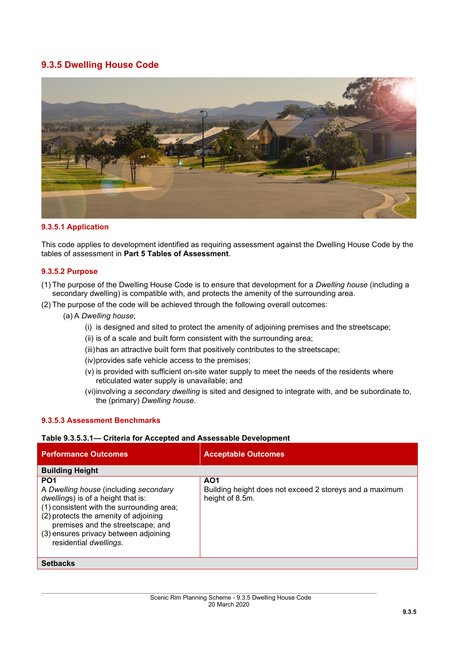# **9.3.5 Dwelling House Code**



### **9.3.5.1 Application**

This code applies to development identified as requiring assessment against the Dwelling House Code by the tables of assessment in **Part 5 Tables of Assessment**.

## **9.3.5.2 Purpose**

- (1) The purpose of the Dwelling House Code is to ensure that development for a *Dwelling house* (including a secondary dwelling) is compatible with, and protects the amenity of the surrounding area.
- (2) The purpose of the code will be achieved through the following overall outcomes:
	- (a) A *Dwelling house*;
		- (i) is designed and sited to protect the amenity of adjoining premises and the streetscape;
		- (ii) is of a scale and built form consistent with the surrounding area;
		- (iii)has an attractive built form that positively contributes to the streetscape;
		- (iv)provides safe vehicle access to the premises;
		- (v) is provided with sufficient on-site water supply to meet the needs of the residents where reticulated water supply is unavailable; and
		- (vi)involving a *secondary dwelling* is sited and designed to integrate with, and be subordinate to, the (primary) *Dwelling house*.

### **9.3.5.3 Assessment Benchmarks**

#### **Table 9.3.5.3.1— Criteria for Accepted and Assessable Development**

| <b>Performance Outcomes</b>                                                                                                                                                                                                                                                                  | <b>Acceptable Outcomes</b>                                                                    |  |  |
|----------------------------------------------------------------------------------------------------------------------------------------------------------------------------------------------------------------------------------------------------------------------------------------------|-----------------------------------------------------------------------------------------------|--|--|
| <b>Building Height</b>                                                                                                                                                                                                                                                                       |                                                                                               |  |  |
| PO <sub>1</sub><br>A Dwelling house (including secondary<br>dwellings) is of a height that is:<br>(1) consistent with the surrounding area;<br>(2) protects the amenity of adjoining<br>premises and the streetscape; and<br>(3) ensures privacy between adjoining<br>residential dwellings. | AO <sub>1</sub><br>Building height does not exceed 2 storeys and a maximum<br>height of 8.5m. |  |  |
| <b>Setbacks</b>                                                                                                                                                                                                                                                                              |                                                                                               |  |  |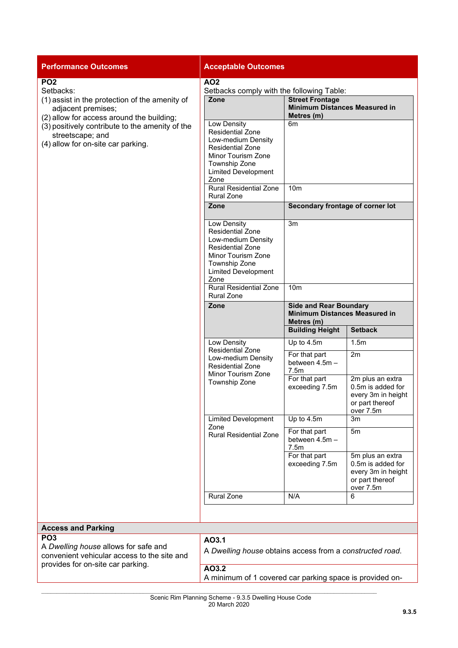| <b>Performance Outcomes</b>                                                                                                                                                                                                                                    | <b>Acceptable Outcomes</b>                                                                                                                                                  |                                                                                                                                 |                                                                                             |
|----------------------------------------------------------------------------------------------------------------------------------------------------------------------------------------------------------------------------------------------------------------|-----------------------------------------------------------------------------------------------------------------------------------------------------------------------------|---------------------------------------------------------------------------------------------------------------------------------|---------------------------------------------------------------------------------------------|
| PO <sub>2</sub><br>Setbacks:<br>(1) assist in the protection of the amenity of<br>adjacent premises;<br>(2) allow for access around the building;<br>(3) positively contribute to the amenity of the<br>streetscape; and<br>(4) allow for on-site car parking. | <b>AO2</b>                                                                                                                                                                  |                                                                                                                                 |                                                                                             |
|                                                                                                                                                                                                                                                                | Setbacks comply with the following Table:<br>Zone                                                                                                                           | <b>Street Frontage</b><br><b>Minimum Distances Measured in</b><br>Metres (m)                                                    |                                                                                             |
|                                                                                                                                                                                                                                                                | Low Density<br><b>Residential Zone</b><br>Low-medium Density<br><b>Residential Zone</b><br><b>Minor Tourism Zone</b><br>Township Zone<br><b>Limited Development</b><br>Zone | 6m                                                                                                                              |                                                                                             |
|                                                                                                                                                                                                                                                                | <b>Rural Residential Zone</b><br><b>Rural Zone</b>                                                                                                                          | 10 <sub>m</sub><br>Secondary frontage of corner lot                                                                             |                                                                                             |
|                                                                                                                                                                                                                                                                | Zone                                                                                                                                                                        |                                                                                                                                 |                                                                                             |
|                                                                                                                                                                                                                                                                | Low Density<br><b>Residential Zone</b><br>Low-medium Density<br><b>Residential Zone</b><br>Minor Tourism Zone<br>Township Zone<br><b>Limited Development</b><br>Zone        | 3m                                                                                                                              |                                                                                             |
|                                                                                                                                                                                                                                                                | <b>Rural Residential Zone</b><br><b>Rural Zone</b>                                                                                                                          | 10 <sub>m</sub>                                                                                                                 |                                                                                             |
|                                                                                                                                                                                                                                                                | Zone                                                                                                                                                                        | <b>Side and Rear Boundary</b><br><b>Minimum Distances Measured in</b><br>Metres (m)<br><b>Building Height</b><br><b>Setback</b> |                                                                                             |
|                                                                                                                                                                                                                                                                | Low Density<br><b>Residential Zone</b><br>Low-medium Density<br><b>Residential Zone</b><br>Minor Tourism Zone<br>Township Zone                                              | Up to 4.5m                                                                                                                      | 1.5m                                                                                        |
|                                                                                                                                                                                                                                                                |                                                                                                                                                                             | For that part<br>between 4.5m -<br>7.5m                                                                                         | 2m                                                                                          |
|                                                                                                                                                                                                                                                                |                                                                                                                                                                             | For that part<br>exceeding 7.5m                                                                                                 | 2m plus an extra<br>0.5m is added for<br>every 3m in height<br>or part thereof<br>over 7.5m |
|                                                                                                                                                                                                                                                                | <b>Limited Development</b><br>Zone<br><b>Rural Residential Zone</b>                                                                                                         | Up to 4.5m                                                                                                                      | 3m                                                                                          |
|                                                                                                                                                                                                                                                                |                                                                                                                                                                             | For that part<br>between 4.5m -<br>7.5m                                                                                         | 5m                                                                                          |
|                                                                                                                                                                                                                                                                |                                                                                                                                                                             | For that part<br>exceeding 7.5m                                                                                                 | 5m plus an extra<br>0.5m is added for<br>every 3m in height<br>or part thereof<br>over 7.5m |
|                                                                                                                                                                                                                                                                | <b>Rural Zone</b>                                                                                                                                                           | N/A                                                                                                                             | 6                                                                                           |
|                                                                                                                                                                                                                                                                |                                                                                                                                                                             |                                                                                                                                 |                                                                                             |
| <b>Access and Parking</b>                                                                                                                                                                                                                                      |                                                                                                                                                                             |                                                                                                                                 |                                                                                             |
| PO <sub>3</sub><br>A Dwelling house allows for safe and<br>convenient vehicular access to the site and<br>provides for on-site car parking.                                                                                                                    | AO3.1<br>A Dwelling house obtains access from a constructed road.                                                                                                           |                                                                                                                                 |                                                                                             |
|                                                                                                                                                                                                                                                                | AO3.2<br>A minimum of 1 covered car parking space is provided on-                                                                                                           |                                                                                                                                 |                                                                                             |
|                                                                                                                                                                                                                                                                |                                                                                                                                                                             |                                                                                                                                 |                                                                                             |